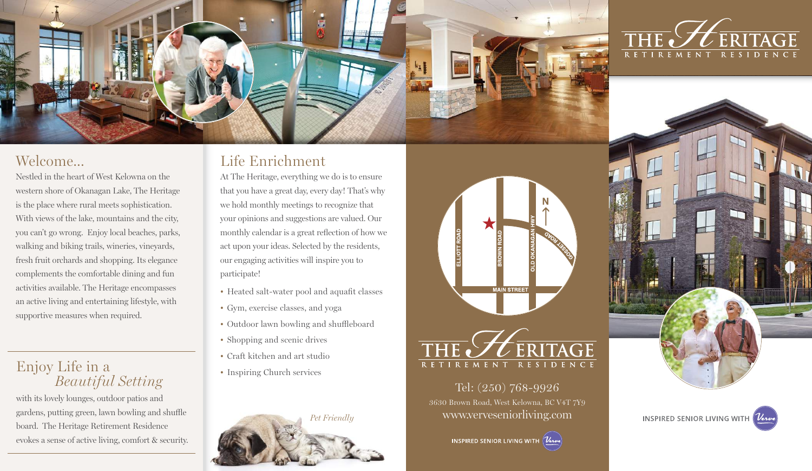

#### Welcome...

Nestled in the heart of West Kelowna on the western shore of Okanagan Lake, The Heritage is the place where rural meets sophistication. With views of the lake, mountains and the city, you can't go wrong. Enjoy local beaches, parks, walking and biking trails, wineries, vineyards, fresh fruit orchards and shopping. Its elegance complements the comfortable dining and fun activities available. The Heritage encompasses an active living and entertaining lifestyle, with supportive measures when required.

#### Enjoy Life in a *Beautiful Setting*

with its lovely lounges, outdoor patios and gardens, putting green, lawn bowling and shuffle board. The Heritage Retirement Residence evokes a sense of active living, comfort & security.

## Life Enrichment

At The Heritage, everything we do is to ensure that you have a great day, every day! That's why we hold monthly meetings to recognize that your opinions and suggestions are valued. Our monthly calendar is a great reflection of how we act upon your ideas. Selected by the residents, our engaging activities will inspire you to participate!

- Heated salt-water pool and aquafit classes
- Gym, exercise classes, and yoga
- Outdoor lawn bowling and shuffleboard
- Shopping and scenic drives
- Craft kitchen and art studio
- Inspiring Church services







Tel: (250) 768-9926 3630 Brown Road, West Kelowna, BC V4T 7Y9 *Pet Friendly* www.verveseniorliving.com





**INSPIRED SENIOR LIVING WITH Verve**